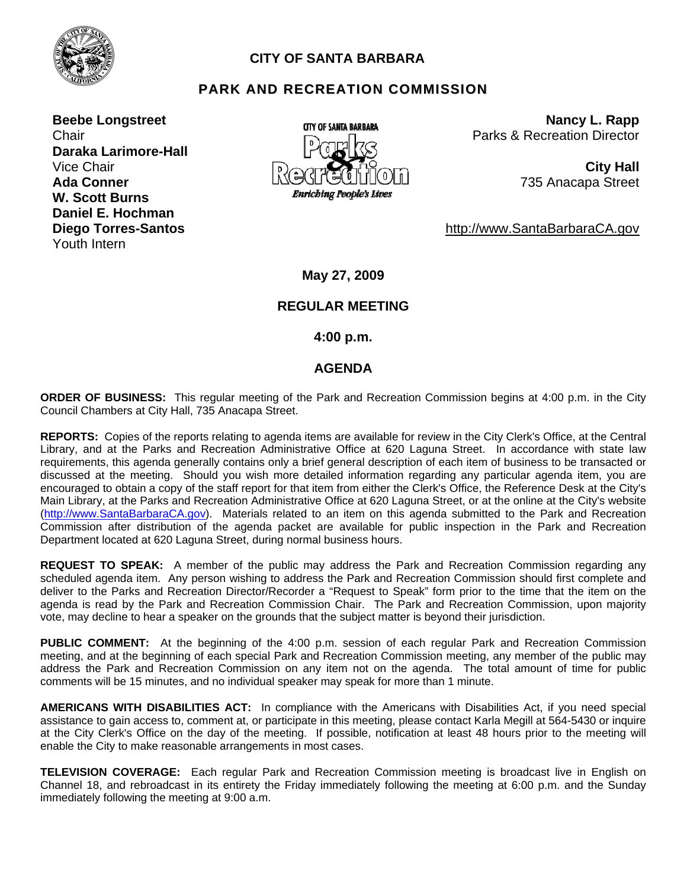

# **CITY OF SANTA BARBARA**

# **PARK AND RECREATION COMMISSION**

**Beebe Longstreet Chair Daraka Larimore-Hall Ada Conner W. Scott Burns Daniel E. Hochman Diego Torres-Santos**  Youth Intern



**Nancy L. Rapp** Parks & Recreation Director

735 Anacapa Street

http://www.SantaBarbaraCA.gov

**May 27, 2009** 

# **REGULAR MEETING**

 **4:00 p.m.** 

### **AGENDA**

**ORDER OF BUSINESS:** This regular meeting of the Park and Recreation Commission begins at 4:00 p.m. in the City Council Chambers at City Hall, 735 Anacapa Street.

**REPORTS:** Copies of the reports relating to agenda items are available for review in the City Clerk's Office, at the Central Library, and at the Parks and Recreation Administrative Office at 620 Laguna Street. In accordance with state law requirements, this agenda generally contains only a brief general description of each item of business to be transacted or discussed at the meeting. Should you wish more detailed information regarding any particular agenda item, you are encouraged to obtain a copy of the staff report for that item from either the Clerk's Office, the Reference Desk at the City's Main Library, at the Parks and Recreation Administrative Office at 620 Laguna Street, or at the online at the City's website (http://www.SantaBarbaraCA.gov). Materials related to an item on this agenda submitted to the Park and Recreation Commission after distribution of the agenda packet are available for public inspection in the Park and Recreation Department located at 620 Laguna Street, during normal business hours.

**REQUEST TO SPEAK:** A member of the public may address the Park and Recreation Commission regarding any scheduled agenda item. Any person wishing to address the Park and Recreation Commission should first complete and deliver to the Parks and Recreation Director/Recorder a "Request to Speak" form prior to the time that the item on the agenda is read by the Park and Recreation Commission Chair. The Park and Recreation Commission, upon majority vote, may decline to hear a speaker on the grounds that the subject matter is beyond their jurisdiction.

**PUBLIC COMMENT:** At the beginning of the 4:00 p.m. session of each regular Park and Recreation Commission meeting, and at the beginning of each special Park and Recreation Commission meeting, any member of the public may address the Park and Recreation Commission on any item not on the agenda. The total amount of time for public comments will be 15 minutes, and no individual speaker may speak for more than 1 minute.

**AMERICANS WITH DISABILITIES ACT:** In compliance with the Americans with Disabilities Act, if you need special assistance to gain access to, comment at, or participate in this meeting, please contact Karla Megill at 564-5430 or inquire at the City Clerk's Office on the day of the meeting. If possible, notification at least 48 hours prior to the meeting will enable the City to make reasonable arrangements in most cases.

**TELEVISION COVERAGE:** Each regular Park and Recreation Commission meeting is broadcast live in English on Channel 18, and rebroadcast in its entirety the Friday immediately following the meeting at 6:00 p.m. and the Sunday immediately following the meeting at 9:00 a.m.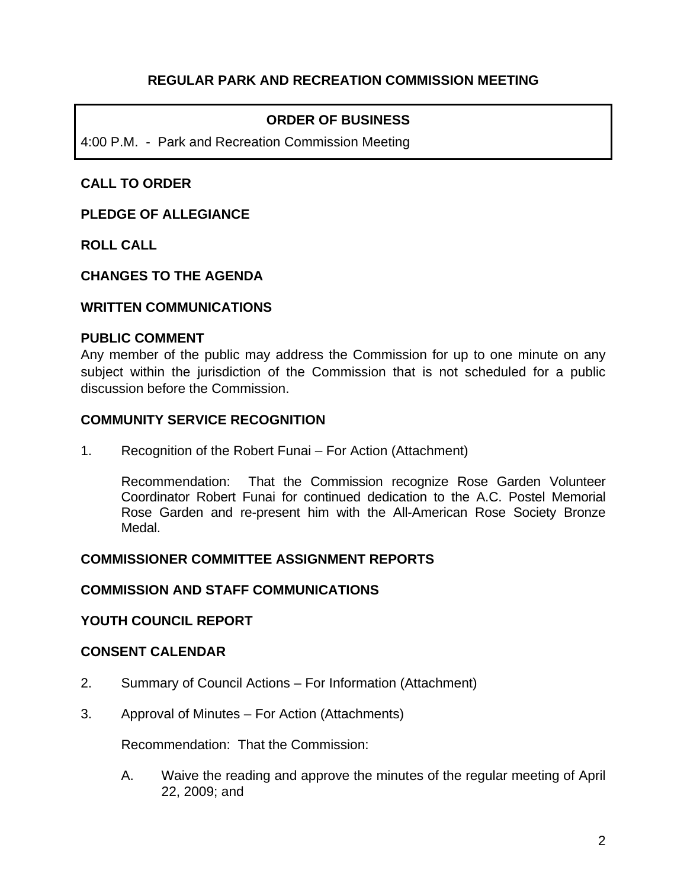# **REGULAR PARK AND RECREATION COMMISSION MEETING**

# **ORDER OF BUSINESS**

4:00 P.M. - Park and Recreation Commission Meeting

## **CALL TO ORDER**

### **PLEDGE OF ALLEGIANCE**

**ROLL CALL** 

### **CHANGES TO THE AGENDA**

#### **WRITTEN COMMUNICATIONS**

#### **PUBLIC COMMENT**

Any member of the public may address the Commission for up to one minute on any subject within the jurisdiction of the Commission that is not scheduled for a public discussion before the Commission.

### **COMMUNITY SERVICE RECOGNITION**

1. Recognition of the Robert Funai – For Action (Attachment)

 Recommendation: That the Commission recognize Rose Garden Volunteer Coordinator Robert Funai for continued dedication to the A.C. Postel Memorial Rose Garden and re-present him with the All-American Rose Society Bronze Medal.

#### **COMMISSIONER COMMITTEE ASSIGNMENT REPORTS**

### **COMMISSION AND STAFF COMMUNICATIONS**

#### **YOUTH COUNCIL REPORT**

### **CONSENT CALENDAR**

- 2. Summary of Council Actions For Information (Attachment)
- 3. Approval of Minutes For Action (Attachments)

Recommendation: That the Commission:

A. Waive the reading and approve the minutes of the regular meeting of April 22, 2009; and